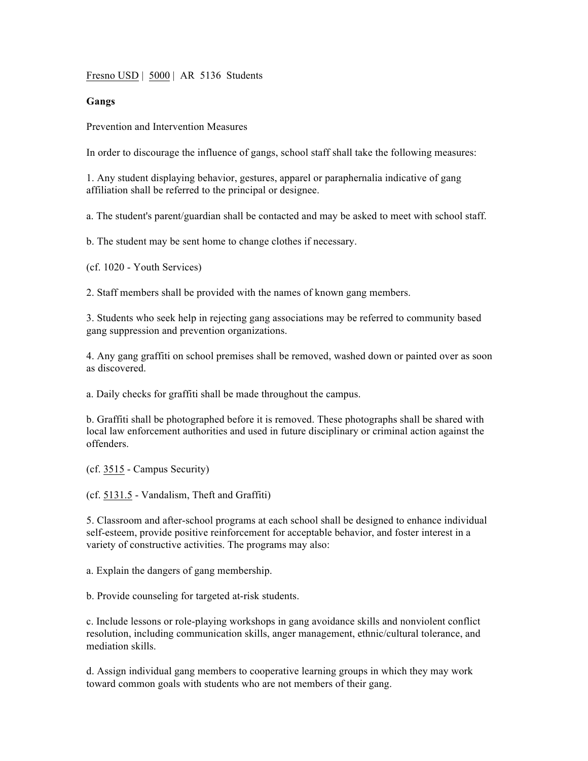Fresno USD | 5000 | AR 5136 Students

## **Gangs**

Prevention and Intervention Measures

In order to discourage the influence of gangs, school staff shall take the following measures:

1. Any student displaying behavior, gestures, apparel or paraphernalia indicative of gang affiliation shall be referred to the principal or designee.

a. The student's parent/guardian shall be contacted and may be asked to meet with school staff.

b. The student may be sent home to change clothes if necessary.

(cf. 1020 - Youth Services)

2. Staff members shall be provided with the names of known gang members.

3. Students who seek help in rejecting gang associations may be referred to community based gang suppression and prevention organizations.

4. Any gang graffiti on school premises shall be removed, washed down or painted over as soon as discovered.

a. Daily checks for graffiti shall be made throughout the campus.

b. Graffiti shall be photographed before it is removed. These photographs shall be shared with local law enforcement authorities and used in future disciplinary or criminal action against the offenders.

(cf. 3515 - Campus Security)

(cf. 5131.5 - Vandalism, Theft and Graffiti)

5. Classroom and after-school programs at each school shall be designed to enhance individual self-esteem, provide positive reinforcement for acceptable behavior, and foster interest in a variety of constructive activities. The programs may also:

a. Explain the dangers of gang membership.

b. Provide counseling for targeted at-risk students.

c. Include lessons or role-playing workshops in gang avoidance skills and nonviolent conflict resolution, including communication skills, anger management, ethnic/cultural tolerance, and mediation skills.

d. Assign individual gang members to cooperative learning groups in which they may work toward common goals with students who are not members of their gang.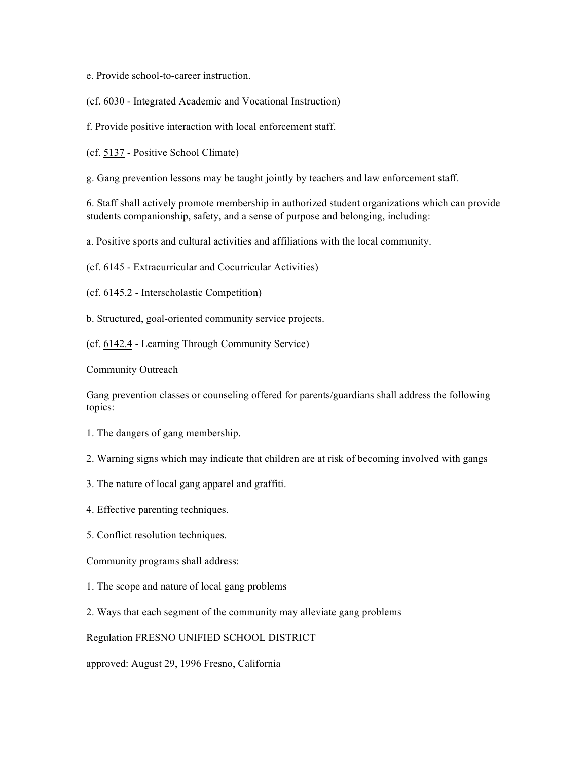e. Provide school-to-career instruction.

(cf. 6030 - Integrated Academic and Vocational Instruction)

f. Provide positive interaction with local enforcement staff.

(cf. 5137 - Positive School Climate)

g. Gang prevention lessons may be taught jointly by teachers and law enforcement staff.

6. Staff shall actively promote membership in authorized student organizations which can provide students companionship, safety, and a sense of purpose and belonging, including:

a. Positive sports and cultural activities and affiliations with the local community.

(cf. 6145 - Extracurricular and Cocurricular Activities)

(cf. 6145.2 - Interscholastic Competition)

b. Structured, goal-oriented community service projects.

(cf. 6142.4 - Learning Through Community Service)

Community Outreach

Gang prevention classes or counseling offered for parents/guardians shall address the following topics:

- 1. The dangers of gang membership.
- 2. Warning signs which may indicate that children are at risk of becoming involved with gangs
- 3. The nature of local gang apparel and graffiti.
- 4. Effective parenting techniques.
- 5. Conflict resolution techniques.

Community programs shall address:

- 1. The scope and nature of local gang problems
- 2. Ways that each segment of the community may alleviate gang problems

Regulation FRESNO UNIFIED SCHOOL DISTRICT

approved: August 29, 1996 Fresno, California